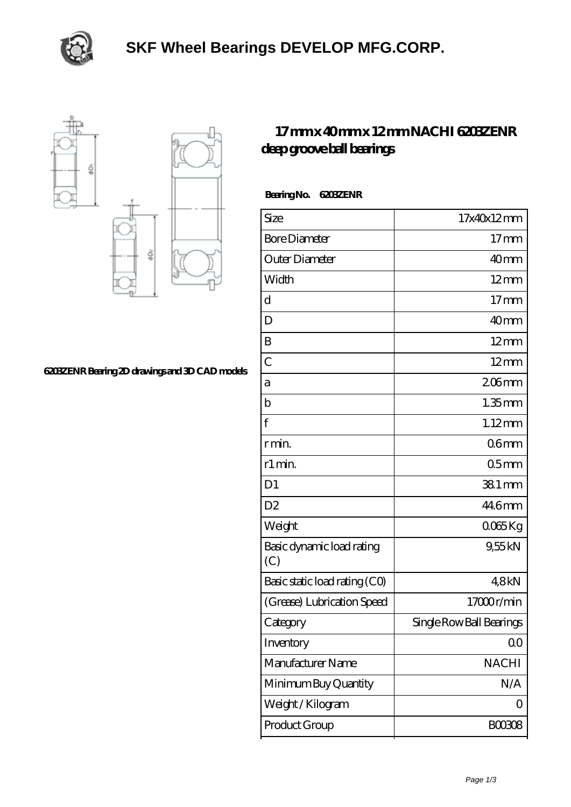



## **[6203ZENR Bearing 2D drawings and 3D CAD models](https://m.subww.com/pic-164603.html)**

## **[17 mm x 40 mm x 12 mm NACHI 6203ZENR](https://m.subww.com/at-164603-nachi-6203zenr-deep-groove-ball-bearings.html) [deep groove ball bearings](https://m.subww.com/at-164603-nachi-6203zenr-deep-groove-ball-bearings.html)**

| Bearing No. | <b>G203ZENR</b> |
|-------------|-----------------|
|             |                 |

| Size                             | 17x40x12mm               |
|----------------------------------|--------------------------|
| <b>Bore Diameter</b>             | $17 \text{mm}$           |
| Outer Diameter                   | 40 <sub>mm</sub>         |
| Width                            | $12 \text{mm}$           |
| d                                | $17$ mm                  |
| D                                | 40mm                     |
| B                                | $12 \text{mm}$           |
| $\overline{C}$                   | $12 \text{mm}$           |
| а                                | $206$ mm                 |
| b                                | $1.35$ mm                |
| f                                | $1.12$ mm                |
| r min.                           | 06 <sub>mm</sub>         |
| r1 min.                          | 05 <sub>mm</sub>         |
| D <sub>1</sub>                   | 38.1 mm                  |
| D <sub>2</sub>                   | 446mm                    |
| Weight                           | 0065Kg                   |
| Basic dynamic load rating<br>(C) | 9,55kN                   |
| Basic static load rating (CO)    | 48kN                     |
| (Grease) Lubrication Speed       | 17000r/min               |
| Category                         | Single Row Ball Bearings |
| Inventory                        | 0 <sub>0</sub>           |
| Manufacturer Name                | <b>NACHI</b>             |
| Minimum Buy Quantity             | N/A                      |
| Weight/Kilogram                  | 0                        |
| Product Group                    | <b>BOO3O8</b>            |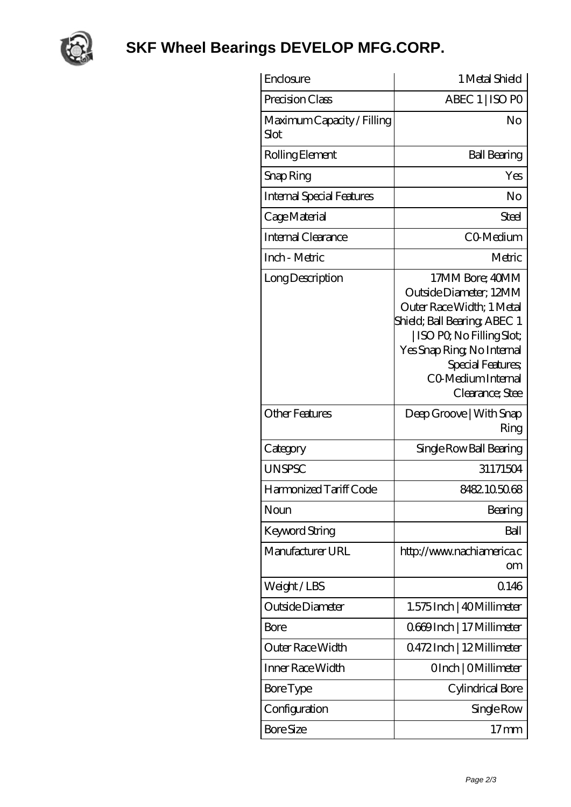

## **[SKF Wheel Bearings DEVELOP MFG.CORP.](https://m.subww.com)**

| Enclosure                          | 1 Metal Shield                                                                                                                                                                                                                  |
|------------------------------------|---------------------------------------------------------------------------------------------------------------------------------------------------------------------------------------------------------------------------------|
| Precision Class                    | ABEC 1   ISO PO                                                                                                                                                                                                                 |
| Maximum Capacity / Filling<br>Slot | N <sub>o</sub>                                                                                                                                                                                                                  |
| Rolling Element                    | <b>Ball Bearing</b>                                                                                                                                                                                                             |
| Snap Ring                          | Yes                                                                                                                                                                                                                             |
| Internal Special Features          | No                                                                                                                                                                                                                              |
| Cage Material                      | Steel                                                                                                                                                                                                                           |
| Internal Clearance                 | CO-Medium                                                                                                                                                                                                                       |
| Inch - Metric                      | Metric                                                                                                                                                                                                                          |
| Long Description                   | 17MM Bore; 40MM<br>Outside Diameter; 12MM<br>Outer Race Width; 1 Metal<br>Shield; Ball Bearing; ABEC 1<br>  ISO PQ No Filling Slot;<br>Yes Snap Ring, No Internal<br>Special Features;<br>CO Medium Internal<br>Clearance; Stee |
| <b>Other Features</b>              | Deep Groove   With Snap<br>Ring                                                                                                                                                                                                 |
| Category                           | Single Row Ball Bearing                                                                                                                                                                                                         |
| <b>UNSPSC</b>                      | 31171504                                                                                                                                                                                                                        |
| Harmonized Tariff Code             | 8482105068                                                                                                                                                                                                                      |
| Noun                               | Bearing                                                                                                                                                                                                                         |
| <b>Keyword String</b>              | Ball                                                                                                                                                                                                                            |
| Manufacturer URL                   | http://www.nachiamerica.c<br>om                                                                                                                                                                                                 |
| Weight/LBS                         | 0.146                                                                                                                                                                                                                           |
| Outside Diameter                   | 1.575 Inch   40 Millimeter                                                                                                                                                                                                      |
| Bore                               | Q669Inch   17 Millimeter                                                                                                                                                                                                        |
| Outer Race Width                   | Q472Inch   12Millimeter                                                                                                                                                                                                         |
| Inner Race Width                   | OInch   OMillimeter                                                                                                                                                                                                             |
| Bore Type                          | Cylindrical Bore                                                                                                                                                                                                                |
| Configuration                      | Single Row                                                                                                                                                                                                                      |
| <b>Bore Size</b>                   | $17 \,\mathrm{mm}$                                                                                                                                                                                                              |